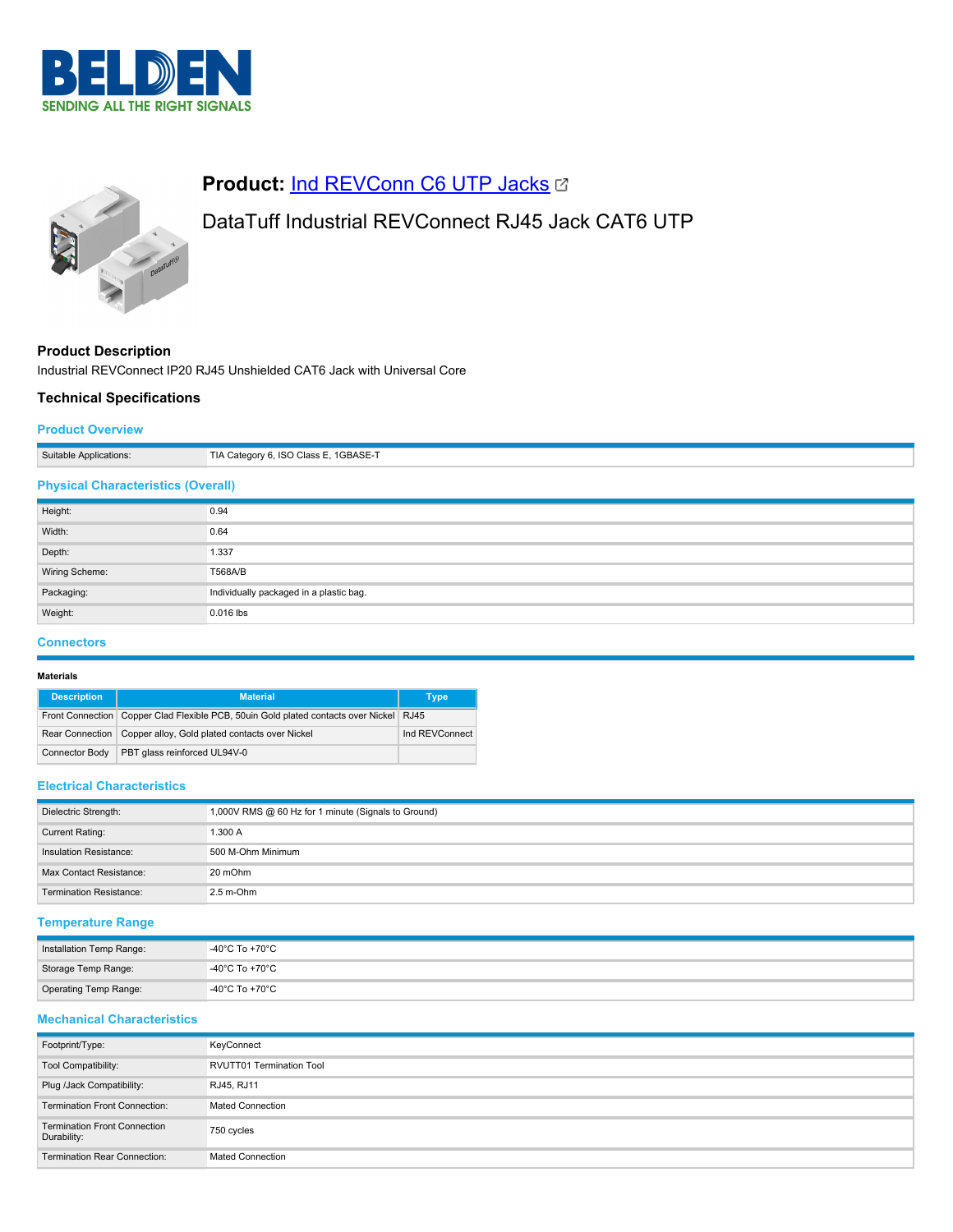



# **Product: [Ind REVConn C6 UTP Jacks](https://catalog.belden.com/index.cfm?event=pd&p=PF_IndREVConnC6UTPJacks&tab=downloads) &**

# DataTuff Industrial REVConnect RJ45 Jack CAT6 UTP

# **Product Description**

Industrial REVConnect IP20 RJ45 Unshielded CAT6 Jack with Universal Core

# **Technical Specifications**

## **Product Overview**

| Suitable Applications:                    | TIA Category 6, ISO Class E, 1GBASE-T   |
|-------------------------------------------|-----------------------------------------|
| <b>Physical Characteristics (Overall)</b> |                                         |
| Height:                                   | 0.94                                    |
| Width:                                    | 0.64                                    |
| Depth:                                    | 1.337                                   |
| Wiring Scheme:                            | T568A/B                                 |
| Packaging:                                | Individually packaged in a plastic bag. |
| Weight:                                   | 0.016 lbs                               |

#### **Connectors**

#### **Materials**

| <b>Description</b> | <b>Material</b>                                                                            | Type           |
|--------------------|--------------------------------------------------------------------------------------------|----------------|
|                    | Front Connection   Copper Clad Flexible PCB, 50uin Gold plated contacts over Nickel   RJ45 |                |
|                    | Rear Connection   Copper alloy, Gold plated contacts over Nickel                           | Ind REVConnect |
| Connector Body     | PBT glass reinforced UL94V-0                                                               |                |

### **Electrical Characteristics**

| Dielectric Strength:           | 1,000V RMS @ 60 Hz for 1 minute (Signals to Ground) |
|--------------------------------|-----------------------------------------------------|
| Current Rating:                | 1.300 A                                             |
| Insulation Resistance:         | 500 M-Ohm Minimum                                   |
| Max Contact Resistance:        | 20 mOhm                                             |
| <b>Termination Resistance:</b> | $2.5$ m-Ohm                                         |

# **Temperature Range**

| Installation Temp Range: | -40°C To +70°C |
|--------------------------|----------------|
| Storage Temp Range:      | -40°C To +70°C |
| Operating Temp Range:    | -40°C To +70°C |

# **Mechanical Characteristics**

| Footprint/Type:                                    | KeyConnect                      |
|----------------------------------------------------|---------------------------------|
| Tool Compatibility:                                | <b>RVUTT01 Termination Tool</b> |
| Plug /Jack Compatibility:                          | RJ45, RJ11                      |
| <b>Termination Front Connection:</b>               | <b>Mated Connection</b>         |
| <b>Termination Front Connection</b><br>Durability: | 750 cycles                      |
| <b>Termination Rear Connection:</b>                | <b>Mated Connection</b>         |